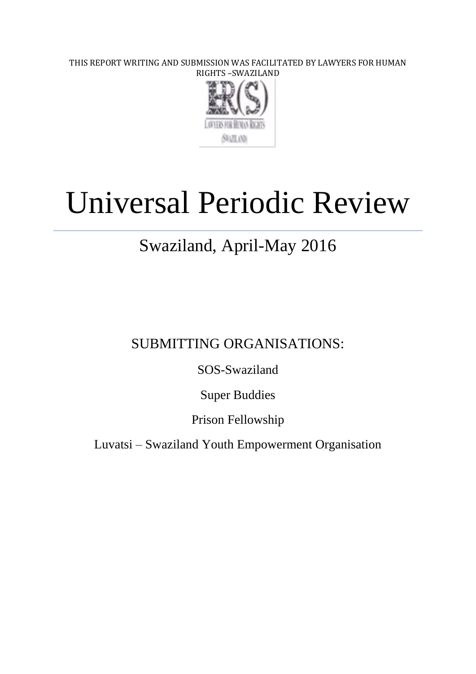THIS REPORT WRITING AND SUBMISSION WAS FACILITATED BY LAWYERS FOR HUMAN RIGHTS –SWAZILAND



# Universal Periodic Review

# Swaziland, April-May 2016

SUBMITTING ORGANISATIONS:

SOS-Swaziland

Super Buddies

Prison Fellowship

Luvatsi – Swaziland Youth Empowerment Organisation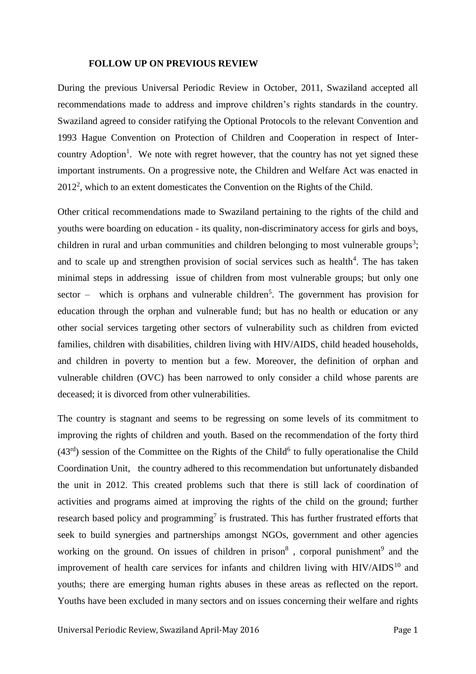#### **FOLLOW UP ON PREVIOUS REVIEW**

During the previous Universal Periodic Review in October, 2011, Swaziland accepted all recommendations made to address and improve children's rights standards in the country. Swaziland agreed to consider ratifying the Optional Protocols to the relevant Convention and 1993 Hague Convention on Protection of Children and Cooperation in respect of Intercountry Adoption<sup>1</sup>. We note with regret however, that the country has not yet signed these important instruments. On a progressive note, the Children and Welfare Act was enacted in  $2012<sup>2</sup>$ , which to an extent domesticates the Convention on the Rights of the Child.

Other critical recommendations made to Swaziland pertaining to the rights of the child and youths were boarding on education - its quality, non-discriminatory access for girls and boys, children in rural and urban communities and children belonging to most vulnerable groups<sup>3</sup>; and to scale up and strengthen provision of social services such as health $4$ . The has taken minimal steps in addressing issue of children from most vulnerable groups; but only one sector – which is orphans and vulnerable children<sup>5</sup>. The government has provision for education through the orphan and vulnerable fund; but has no health or education or any other social services targeting other sectors of vulnerability such as children from evicted families, children with disabilities, children living with HIV/AIDS, child headed households, and children in poverty to mention but a few. Moreover, the definition of orphan and vulnerable children (OVC) has been narrowed to only consider a child whose parents are deceased; it is divorced from other vulnerabilities.

The country is stagnant and seems to be regressing on some levels of its commitment to improving the rights of children and youth. Based on the recommendation of the forty third  $(43<sup>rd</sup>)$  session of the Committee on the Rights of the Child<sup>6</sup> to fully operationalise the Child Coordination Unit, the country adhered to this recommendation but unfortunately disbanded the unit in 2012. This created problems such that there is still lack of coordination of activities and programs aimed at improving the rights of the child on the ground; further research based policy and programming<sup>7</sup> is frustrated. This has further frustrated efforts that seek to build synergies and partnerships amongst NGOs, government and other agencies working on the ground. On issues of children in prison<sup>8</sup>, corporal punishment<sup>9</sup> and the improvement of health care services for infants and children living with  $HIV/ALDS<sup>10</sup>$  and youths; there are emerging human rights abuses in these areas as reflected on the report. Youths have been excluded in many sectors and on issues concerning their welfare and rights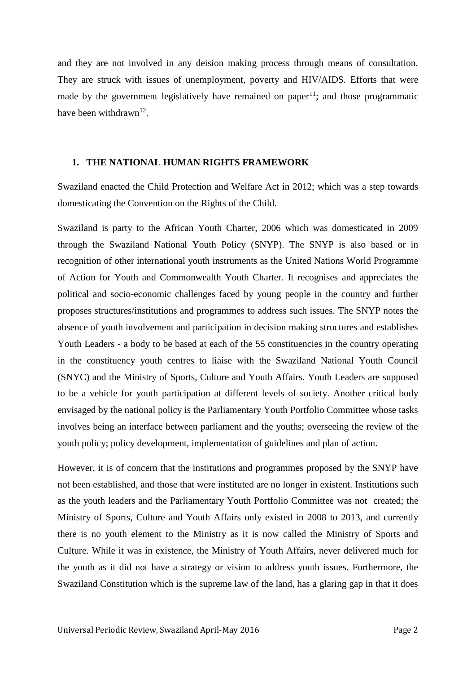and they are not involved in any deision making process through means of consultation. They are struck with issues of unemployment, poverty and HIV/AIDS. Efforts that were made by the government legislatively have remained on paper<sup>11</sup>; and those programmatic have been withdrawn<sup>12</sup>.

# **1. THE NATIONAL HUMAN RIGHTS FRAMEWORK**

Swaziland enacted the Child Protection and Welfare Act in 2012; which was a step towards domesticating the Convention on the Rights of the Child.

Swaziland is party to the African Youth Charter, 2006 which was domesticated in 2009 through the Swaziland National Youth Policy (SNYP). The SNYP is also based or in recognition of other international youth instruments as the United Nations World Programme of Action for Youth and Commonwealth Youth Charter. It recognises and appreciates the political and socio-economic challenges faced by young people in the country and further proposes structures/institutions and programmes to address such issues. The SNYP notes the absence of youth involvement and participation in decision making structures and establishes Youth Leaders - a body to be based at each of the 55 constituencies in the country operating in the constituency youth centres to liaise with the Swaziland National Youth Council (SNYC) and the Ministry of Sports, Culture and Youth Affairs. Youth Leaders are supposed to be a vehicle for youth participation at different levels of society. Another critical body envisaged by the national policy is the Parliamentary Youth Portfolio Committee whose tasks involves being an interface between parliament and the youths; overseeing the review of the youth policy; policy development, implementation of guidelines and plan of action.

However, it is of concern that the institutions and programmes proposed by the SNYP have not been established, and those that were instituted are no longer in existent. Institutions such as the youth leaders and the Parliamentary Youth Portfolio Committee was not created; the Ministry of Sports, Culture and Youth Affairs only existed in 2008 to 2013, and currently there is no youth element to the Ministry as it is now called the Ministry of Sports and Culture. While it was in existence, the Ministry of Youth Affairs, never delivered much for the youth as it did not have a strategy or vision to address youth issues. Furthermore, the Swaziland Constitution which is the supreme law of the land, has a glaring gap in that it does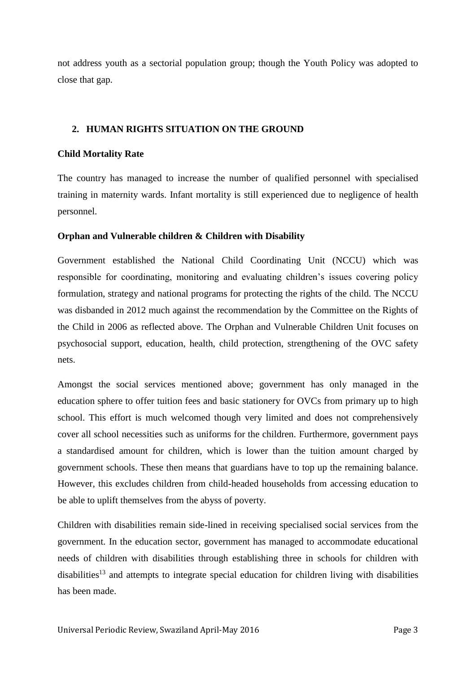not address youth as a sectorial population group; though the Youth Policy was adopted to close that gap.

# **2. HUMAN RIGHTS SITUATION ON THE GROUND**

# **Child Mortality Rate**

The country has managed to increase the number of qualified personnel with specialised training in maternity wards. Infant mortality is still experienced due to negligence of health personnel.

# **Orphan and Vulnerable children & Children with Disability**

Government established the National Child Coordinating Unit (NCCU) which was responsible for coordinating, monitoring and evaluating children's issues covering policy formulation, strategy and national programs for protecting the rights of the child. The NCCU was disbanded in 2012 much against the recommendation by the Committee on the Rights of the Child in 2006 as reflected above. The Orphan and Vulnerable Children Unit focuses on psychosocial support, education, health, child protection, strengthening of the OVC safety nets.

Amongst the social services mentioned above; government has only managed in the education sphere to offer tuition fees and basic stationery for OVCs from primary up to high school. This effort is much welcomed though very limited and does not comprehensively cover all school necessities such as uniforms for the children. Furthermore, government pays a standardised amount for children, which is lower than the tuition amount charged by government schools. These then means that guardians have to top up the remaining balance. However, this excludes children from child-headed households from accessing education to be able to uplift themselves from the abyss of poverty.

Children with disabilities remain side-lined in receiving specialised social services from the government. In the education sector, government has managed to accommodate educational needs of children with disabilities through establishing three in schools for children with  $disabilities<sup>13</sup>$  and attempts to integrate special education for children living with disabilities has been made.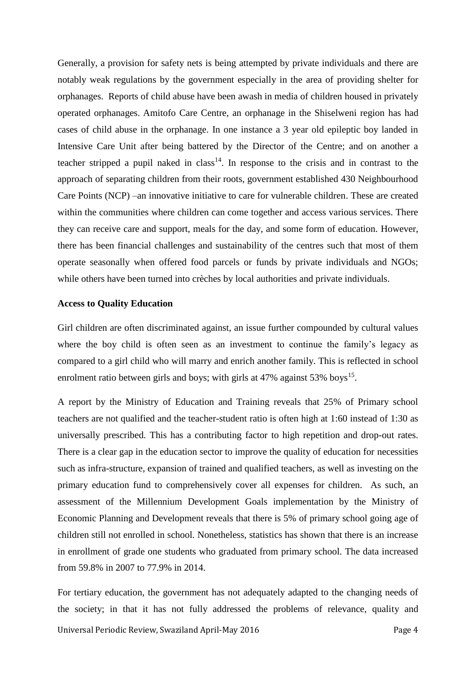Generally, a provision for safety nets is being attempted by private individuals and there are notably weak regulations by the government especially in the area of providing shelter for orphanages. Reports of child abuse have been awash in media of children housed in privately operated orphanages. Amitofo Care Centre, an orphanage in the Shiselweni region has had cases of child abuse in the orphanage. In one instance a 3 year old epileptic boy landed in Intensive Care Unit after being battered by the Director of the Centre; and on another a teacher stripped a pupil naked in class<sup>14</sup>. In response to the crisis and in contrast to the approach of separating children from their roots, government established 430 Neighbourhood Care Points (NCP) –an innovative initiative to care for vulnerable children. These are created within the communities where children can come together and access various services. There they can receive care and support, meals for the day, and some form of education. However, there has been financial challenges and sustainability of the centres such that most of them operate seasonally when offered food parcels or funds by private individuals and NGOs; while others have been turned into crèches by local authorities and private individuals.

#### **Access to Quality Education**

Girl children are often discriminated against, an issue further compounded by cultural values where the boy child is often seen as an investment to continue the family's legacy as compared to a girl child who will marry and enrich another family. This is reflected in school enrolment ratio between girls and boys; with girls at 47% against  $53\%$  boys<sup>15</sup>.

A report by the Ministry of Education and Training reveals that 25% of Primary school teachers are not qualified and the teacher-student ratio is often high at 1:60 instead of 1:30 as universally prescribed. This has a contributing factor to high repetition and drop-out rates. There is a clear gap in the education sector to improve the quality of education for necessities such as infra-structure, expansion of trained and qualified teachers, as well as investing on the primary education fund to comprehensively cover all expenses for children. As such, an assessment of the Millennium Development Goals implementation by the Ministry of Economic Planning and Development reveals that there is 5% of primary school going age of children still not enrolled in school. Nonetheless, statistics has shown that there is an increase in enrollment of grade one students who graduated from primary school. The data increased from 59.8% in 2007 to 77.9% in 2014.

Universal Periodic Review, Swaziland April-May 2016 **Page 4** For tertiary education, the government has not adequately adapted to the changing needs of the society; in that it has not fully addressed the problems of relevance, quality and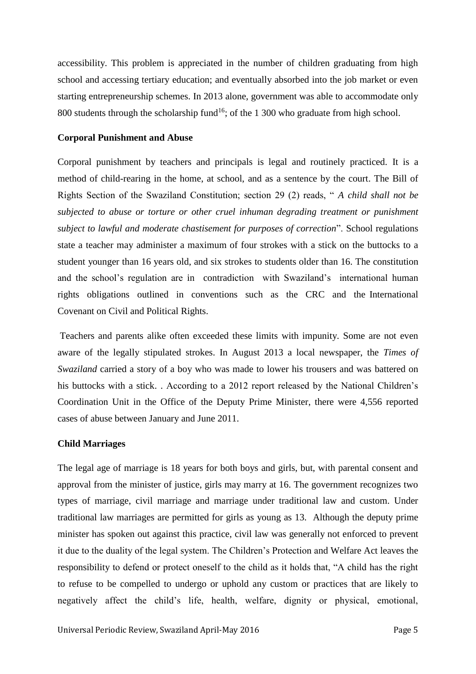accessibility. This problem is appreciated in the number of children graduating from high school and accessing tertiary education; and eventually absorbed into the job market or even starting entrepreneurship schemes. In 2013 alone, government was able to accommodate only 800 students through the scholarship fund<sup>16</sup>; of the 1 300 who graduate from high school.

#### **Corporal Punishment and Abuse**

Corporal punishment by teachers and principals is legal and routinely practiced. It is a method of child-rearing in the home, at school, and as a sentence by the court. The Bill of Rights Section of the Swaziland Constitution; section 29 (2) reads, " *A child shall not be subjected to abuse or torture or other cruel inhuman degrading treatment or punishment subject to lawful and moderate chastisement for purposes of correction*". School regulations state a teacher may administer a maximum of four strokes with a stick on the buttocks to a student younger than 16 years old, and six strokes to students older than 16. The constitution and the school's regulation are in contradiction with Swaziland's international human rights obligations outlined in conventions such as the CRC and the International Covenant on Civil and Political Rights.

Teachers and parents alike often exceeded these limits with impunity. Some are not even aware of the legally stipulated strokes. In August 2013 a local newspaper, the *Times of Swaziland* carried a story of a boy who was made to lower his trousers and was battered on his buttocks with a stick. . According to a 2012 report released by the National Children's Coordination Unit in the Office of the Deputy Prime Minister, there were 4,556 reported cases of abuse between January and June 2011.

#### **Child Marriages**

The legal age of marriage is 18 years for both boys and girls, but, with parental consent and approval from the minister of justice, girls may marry at 16. The government recognizes two types of marriage, civil marriage and marriage under traditional law and custom. Under traditional law marriages are permitted for girls as young as 13. Although the deputy prime minister has spoken out against this practice, civil law was generally not enforced to prevent it due to the duality of the legal system. The Children's Protection and Welfare Act leaves the responsibility to defend or protect oneself to the child as it holds that, "A child has the right to refuse to be compelled to undergo or uphold any custom or practices that are likely to negatively affect the child's life, health, welfare, dignity or physical, emotional,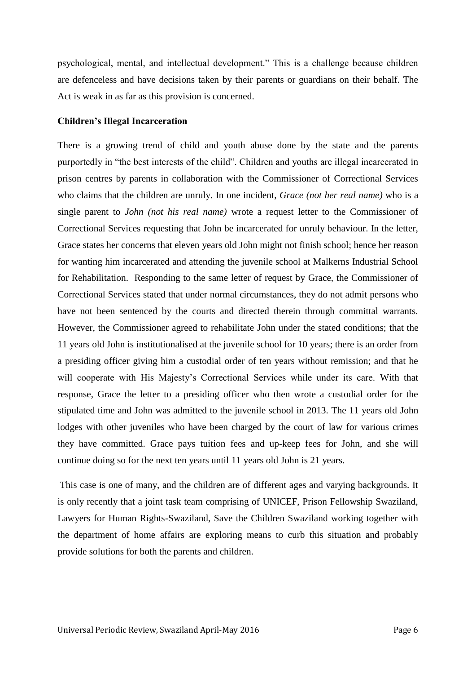psychological, mental, and intellectual development." This is a challenge because children are defenceless and have decisions taken by their parents or guardians on their behalf. The Act is weak in as far as this provision is concerned.

#### **Children's Illegal Incarceration**

There is a growing trend of child and youth abuse done by the state and the parents purportedly in "the best interests of the child". Children and youths are illegal incarcerated in prison centres by parents in collaboration with the Commissioner of Correctional Services who claims that the children are unruly. In one incident, *Grace (not her real name)* who is a single parent to *John (not his real name)* wrote a request letter to the Commissioner of Correctional Services requesting that John be incarcerated for unruly behaviour. In the letter, Grace states her concerns that eleven years old John might not finish school; hence her reason for wanting him incarcerated and attending the juvenile school at Malkerns Industrial School for Rehabilitation. Responding to the same letter of request by Grace, the Commissioner of Correctional Services stated that under normal circumstances, they do not admit persons who have not been sentenced by the courts and directed therein through committal warrants. However, the Commissioner agreed to rehabilitate John under the stated conditions; that the 11 years old John is institutionalised at the juvenile school for 10 years; there is an order from a presiding officer giving him a custodial order of ten years without remission; and that he will cooperate with His Majesty's Correctional Services while under its care. With that response, Grace the letter to a presiding officer who then wrote a custodial order for the stipulated time and John was admitted to the juvenile school in 2013. The 11 years old John lodges with other juveniles who have been charged by the court of law for various crimes they have committed. Grace pays tuition fees and up-keep fees for John*,* and she will continue doing so for the next ten years until 11 years old John is 21 years.

This case is one of many, and the children are of different ages and varying backgrounds. It is only recently that a joint task team comprising of UNICEF, Prison Fellowship Swaziland, Lawyers for Human Rights-Swaziland, Save the Children Swaziland working together with the department of home affairs are exploring means to curb this situation and probably provide solutions for both the parents and children.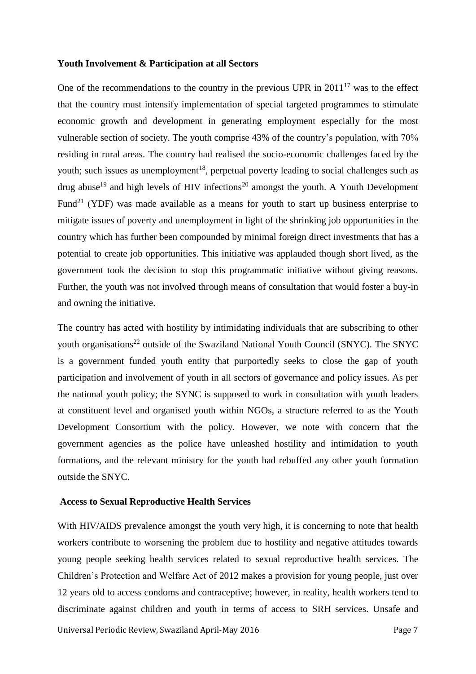#### **Youth Involvement & Participation at all Sectors**

One of the recommendations to the country in the previous UPR in  $2011^{17}$  was to the effect that the country must intensify implementation of special targeted programmes to stimulate economic growth and development in generating employment especially for the most vulnerable section of society. The youth comprise 43% of the country's population, with 70% residing in rural areas. The country had realised the socio-economic challenges faced by the youth; such issues as unemployment<sup>18</sup>, perpetual poverty leading to social challenges such as drug abuse<sup>19</sup> and high levels of HIV infections<sup>20</sup> amongst the youth. A Youth Development Fund<sup>21</sup> (YDF) was made available as a means for youth to start up business enterprise to mitigate issues of poverty and unemployment in light of the shrinking job opportunities in the country which has further been compounded by minimal foreign direct investments that has a potential to create job opportunities. This initiative was applauded though short lived, as the government took the decision to stop this programmatic initiative without giving reasons. Further, the youth was not involved through means of consultation that would foster a buy-in and owning the initiative.

The country has acted with hostility by intimidating individuals that are subscribing to other youth organisations<sup>22</sup> outside of the Swaziland National Youth Council (SNYC). The SNYC is a government funded youth entity that purportedly seeks to close the gap of youth participation and involvement of youth in all sectors of governance and policy issues. As per the national youth policy; the SYNC is supposed to work in consultation with youth leaders at constituent level and organised youth within NGOs, a structure referred to as the Youth Development Consortium with the policy. However, we note with concern that the government agencies as the police have unleashed hostility and intimidation to youth formations, and the relevant ministry for the youth had rebuffed any other youth formation outside the SNYC.

#### **Access to Sexual Reproductive Health Services**

With HIV/AIDS prevalence amongst the youth very high, it is concerning to note that health workers contribute to worsening the problem due to hostility and negative attitudes towards young people seeking health services related to sexual reproductive health services. The Children's Protection and Welfare Act of 2012 makes a provision for young people, just over 12 years old to access condoms and contraceptive; however, in reality, health workers tend to discriminate against children and youth in terms of access to SRH services. Unsafe and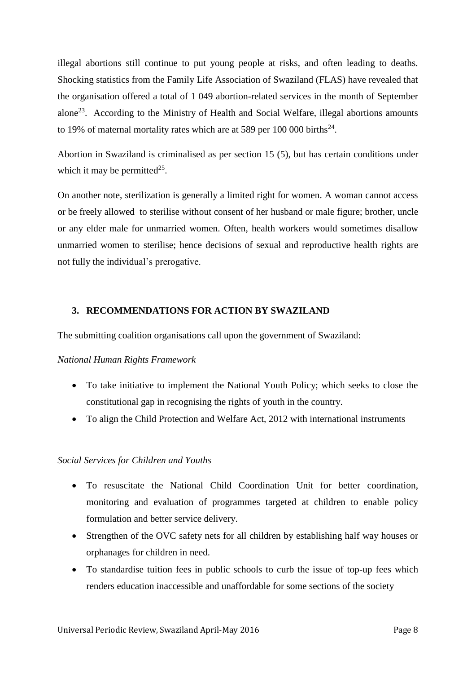illegal abortions still continue to put young people at risks, and often leading to deaths. Shocking statistics from the Family Life Association of Swaziland (FLAS) have revealed that the organisation offered a total of 1 049 abortion-related services in the month of September alone<sup>23</sup>. According to the Ministry of Health and Social Welfare, illegal abortions amounts to 19% of maternal mortality rates which are at 589 per 100 000 births<sup>24</sup>.

Abortion in Swaziland is criminalised as per section 15 (5), but has certain conditions under which it may be permitted<sup>25</sup>.

On another note, sterilization is generally a limited right for women. A woman cannot access or be freely allowed to sterilise without consent of her husband or male figure; brother, uncle or any elder male for unmarried women. Often, health workers would sometimes disallow unmarried women to sterilise; hence decisions of sexual and reproductive health rights are not fully the individual's prerogative.

# **3. RECOMMENDATIONS FOR ACTION BY SWAZILAND**

The submitting coalition organisations call upon the government of Swaziland:

# *National Human Rights Framework*

- To take initiative to implement the National Youth Policy; which seeks to close the constitutional gap in recognising the rights of youth in the country.
- To align the Child Protection and Welfare Act, 2012 with international instruments

# *Social Services for Children and Youths*

- To resuscitate the National Child Coordination Unit for better coordination, monitoring and evaluation of programmes targeted at children to enable policy formulation and better service delivery.
- Strengthen of the OVC safety nets for all children by establishing half way houses or orphanages for children in need.
- To standardise tuition fees in public schools to curb the issue of top-up fees which renders education inaccessible and unaffordable for some sections of the society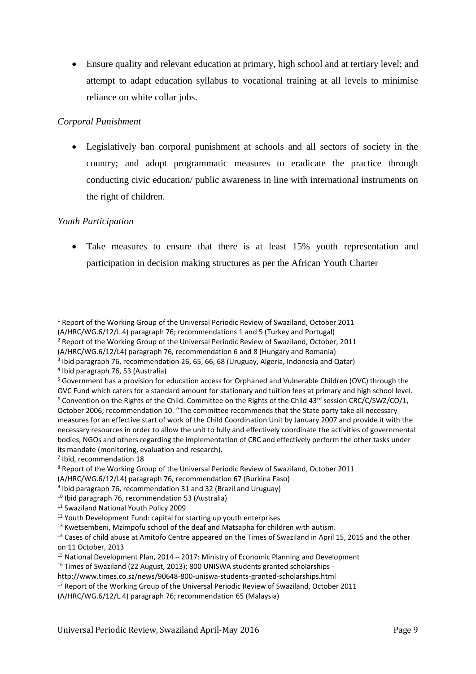Ensure quality and relevant education at primary, high school and at tertiary level; and attempt to adapt education syllabus to vocational training at all levels to minimise reliance on white collar jobs.

# *Corporal Punishment*

 Legislatively ban corporal punishment at schools and all sectors of society in the country; and adopt programmatic measures to eradicate the practice through conducting civic education/ public awareness in line with international instruments on the right of children.

# *Youth Participation*

**.** 

 Take measures to ensure that there is at least 15% youth representation and participation in decision making structures as per the African Youth Charter

 $2$  Report of the Working Group of the Universal Periodic Review of Swaziland, October, 2011

(A/HRC/WG.6/12/L4) paragraph 76, recommendation 6 and 8 (Hungary and Romania)

<sup>5</sup> Government has a provision for education access for Orphaned and Vulnerable Children (OVC) through the

<sup>7</sup> Ibid, recommendation 18

<sup>1</sup> Report of the Working Group of the Universal Periodic Review of Swaziland, October 2011 (A/HRC/WG.6/12/L.4) paragraph 76; recommendations 1 and 5 (Turkey and Portugal)

<sup>&</sup>lt;sup>3</sup> Ibid paragraph 76, recommendation 26, 65, 66, 68 (Uruguay, Algeria, Indonesia and Qatar)

<sup>4</sup> Ibid paragraph 76, 53 (Australia)

OVC Fund which caters for a standard amount for stationary and tuition fees at primary and high school level. <sup>6</sup> Convention on the Rights of the Child. Committee on the Rights of the Child 43<sup>rd</sup> session CRC/C/SWZ/CO/1, October 2006; recommendation 10. "The committee recommends that the State party take all necessary measures for an effective start of work of the Child Coordination Unit by January 2007 and provide it with the necessary resources in order to allow the unit to fully and effectively coordinate the activities of governmental bodies, NGOs and others regarding the implementation of CRC and effectively perform the other tasks under its mandate (monitoring, evaluation and research).

<sup>8</sup> Report of the Working Group of the Universal Periodic Review of Swaziland, October 2011

<sup>(</sup>A/HRC/WG.6/12/L4) paragraph 76, recommendation 67 (Burkina Faso)

<sup>&</sup>lt;sup>9</sup> Ibid paragraph 76, recommendation 31 and 32 (Brazil and Uruguay)

<sup>10</sup> Ibid paragraph 76, recommendation 53 (Australia)

<sup>11</sup> Swaziland National Youth Policy 2009

<sup>&</sup>lt;sup>12</sup> Youth Development Fund: capital for starting up youth enterprises

 $13$  Kwetsembeni, Mzimpofu school of the deaf and Matsapha for children with autism.

<sup>&</sup>lt;sup>14</sup> Cases of child abuse at Amitofo Centre appeared on the Times of Swaziland in April 15, 2015 and the other on 11 October, 2013

 $15$  National Development Plan, 2014 – 2017: Ministry of Economic Planning and Development

<sup>&</sup>lt;sup>16</sup> Times of Swaziland (22 August, 2013); 800 UNISWA students granted scholarships -

http://www.times.co.sz/news/90648-800-uniswa-students-granted-scholarships.html

<sup>&</sup>lt;sup>17</sup> Report of the Working Group of the Universal Periodic Review of Swaziland, October 2011

<sup>(</sup>A/HRC/WG.6/12/L.4) paragraph 76; recommendation 65 (Malaysia)